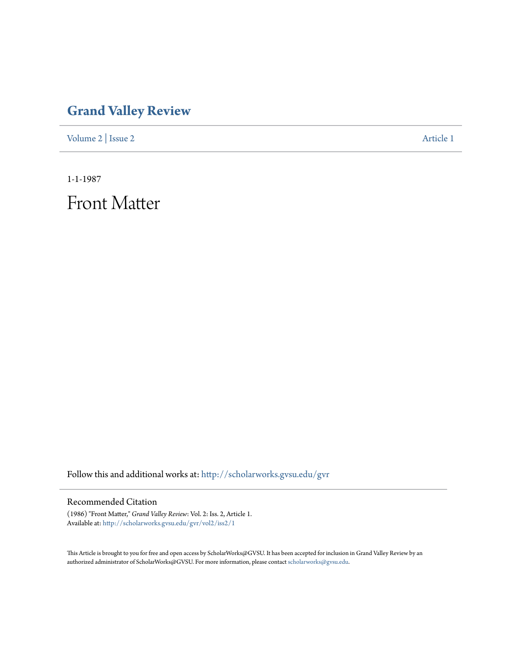## **[Grand Valley Review](http://scholarworks.gvsu.edu/gvr?utm_source=scholarworks.gvsu.edu%2Fgvr%2Fvol2%2Fiss2%2F1&utm_medium=PDF&utm_campaign=PDFCoverPages)**

[Volume 2](http://scholarworks.gvsu.edu/gvr/vol2?utm_source=scholarworks.gvsu.edu%2Fgvr%2Fvol2%2Fiss2%2F1&utm_medium=PDF&utm_campaign=PDFCoverPages) | [Issue 2](http://scholarworks.gvsu.edu/gvr/vol2/iss2?utm_source=scholarworks.gvsu.edu%2Fgvr%2Fvol2%2Fiss2%2F1&utm_medium=PDF&utm_campaign=PDFCoverPages) [Article 1](http://scholarworks.gvsu.edu/gvr/vol2/iss2/1?utm_source=scholarworks.gvsu.edu%2Fgvr%2Fvol2%2Fiss2%2F1&utm_medium=PDF&utm_campaign=PDFCoverPages)

1-1-1987

Front Matter

Follow this and additional works at: [http://scholarworks.gvsu.edu/gvr](http://scholarworks.gvsu.edu/gvr?utm_source=scholarworks.gvsu.edu%2Fgvr%2Fvol2%2Fiss2%2F1&utm_medium=PDF&utm_campaign=PDFCoverPages)

## Recommended Citation

(1986) "Front Matter," *Grand Valley Review*: Vol. 2: Iss. 2, Article 1. Available at: [http://scholarworks.gvsu.edu/gvr/vol2/iss2/1](http://scholarworks.gvsu.edu/gvr/vol2/iss2/1?utm_source=scholarworks.gvsu.edu%2Fgvr%2Fvol2%2Fiss2%2F1&utm_medium=PDF&utm_campaign=PDFCoverPages)

This Article is brought to you for free and open access by ScholarWorks@GVSU. It has been accepted for inclusion in Grand Valley Review by an authorized administrator of ScholarWorks@GVSU. For more information, please contact [scholarworks@gvsu.edu.](mailto:scholarworks@gvsu.edu)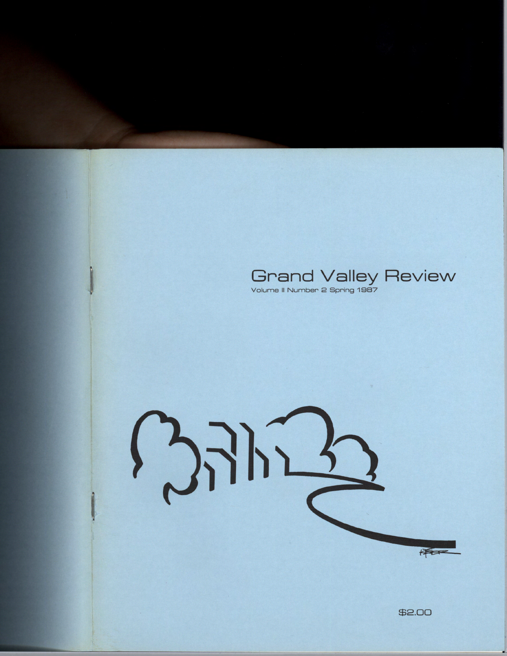



\$2.00